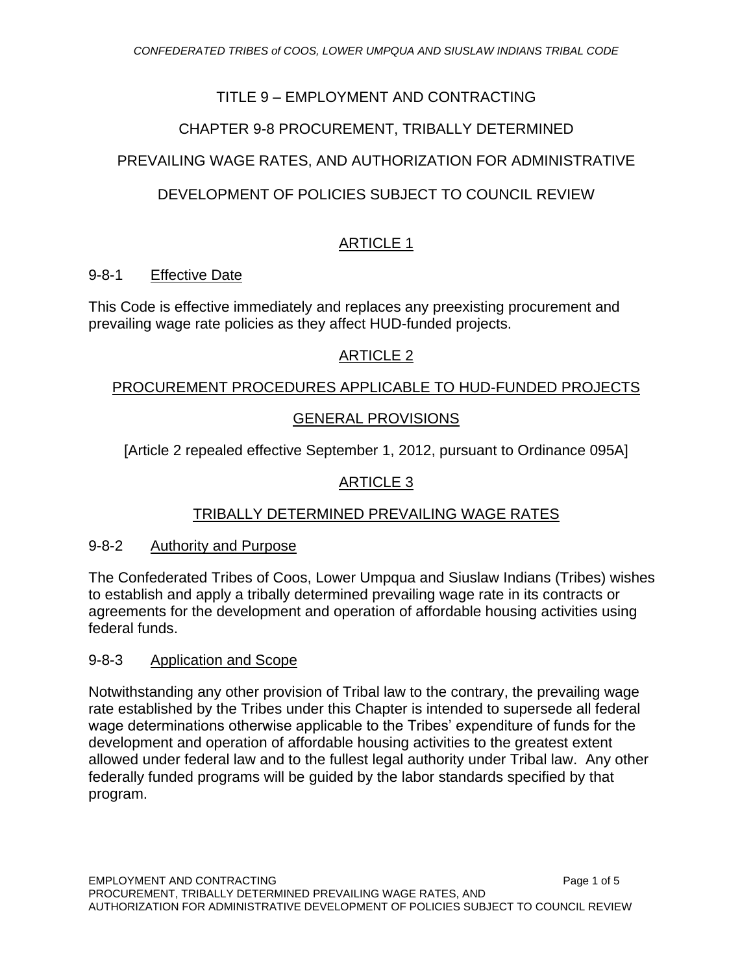## TITLE 9 – EMPLOYMENT AND CONTRACTING

## CHAPTER 9-8 PROCUREMENT, TRIBALLY DETERMINED

## PREVAILING WAGE RATES, AND AUTHORIZATION FOR ADMINISTRATIVE

## DEVELOPMENT OF POLICIES SUBJECT TO COUNCIL REVIEW

## ARTICLE 1

#### 9-8-1 Effective Date

This Code is effective immediately and replaces any preexisting procurement and prevailing wage rate policies as they affect HUD-funded projects.

## ARTICLE 2

#### PROCUREMENT PROCEDURES APPLICABLE TO HUD-FUNDED PROJECTS

## GENERAL PROVISIONS

[Article 2 repealed effective September 1, 2012, pursuant to Ordinance 095A]

## ARTICLE 3

## TRIBALLY DETERMINED PREVAILING WAGE RATES

#### 9-8-2 Authority and Purpose

The Confederated Tribes of Coos, Lower Umpqua and Siuslaw Indians (Tribes) wishes to establish and apply a tribally determined prevailing wage rate in its contracts or agreements for the development and operation of affordable housing activities using federal funds.

#### 9-8-3 Application and Scope

Notwithstanding any other provision of Tribal law to the contrary, the prevailing wage rate established by the Tribes under this Chapter is intended to supersede all federal wage determinations otherwise applicable to the Tribes' expenditure of funds for the development and operation of affordable housing activities to the greatest extent allowed under federal law and to the fullest legal authority under Tribal law. Any other federally funded programs will be guided by the labor standards specified by that program.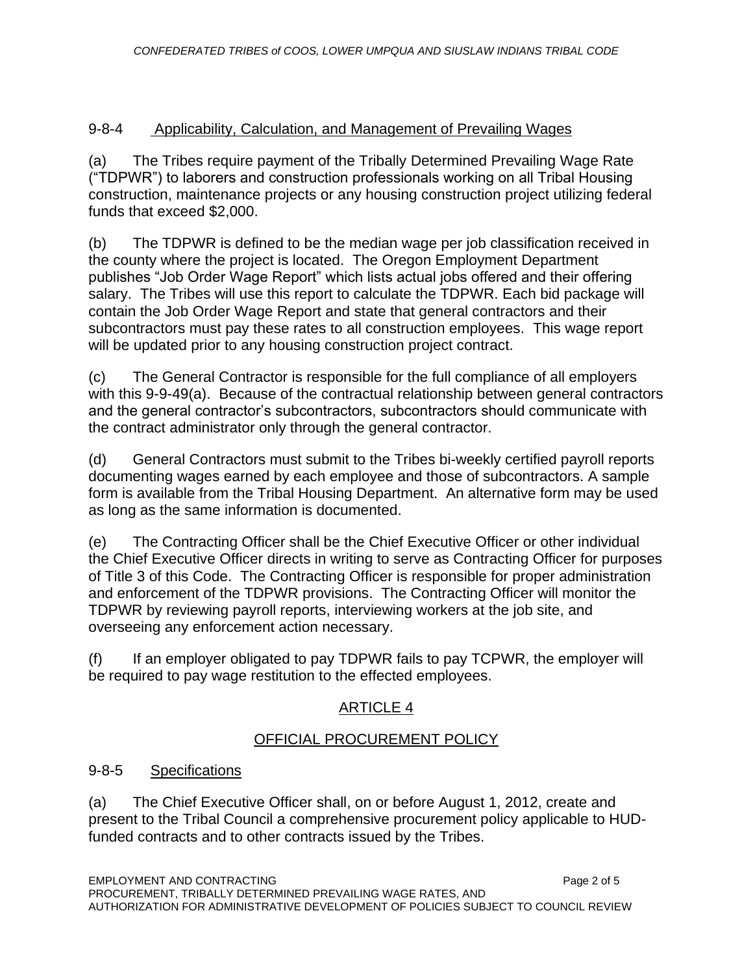## 9-8-4 Applicability, Calculation, and Management of Prevailing Wages

(a) The Tribes require payment of the Tribally Determined Prevailing Wage Rate ("TDPWR") to laborers and construction professionals working on all Tribal Housing construction, maintenance projects or any housing construction project utilizing federal funds that exceed \$2,000.

(b) The TDPWR is defined to be the median wage per job classification received in the county where the project is located. The Oregon Employment Department publishes "Job Order Wage Report" which lists actual jobs offered and their offering salary. The Tribes will use this report to calculate the TDPWR. Each bid package will contain the Job Order Wage Report and state that general contractors and their subcontractors must pay these rates to all construction employees. This wage report will be updated prior to any housing construction project contract.

(c) The General Contractor is responsible for the full compliance of all employers with this 9-9-49(a). Because of the contractual relationship between general contractors and the general contractor's subcontractors, subcontractors should communicate with the contract administrator only through the general contractor.

(d) General Contractors must submit to the Tribes bi-weekly certified payroll reports documenting wages earned by each employee and those of subcontractors. A sample form is available from the Tribal Housing Department. An alternative form may be used as long as the same information is documented.

(e) The Contracting Officer shall be the Chief Executive Officer or other individual the Chief Executive Officer directs in writing to serve as Contracting Officer for purposes of Title 3 of this Code. The Contracting Officer is responsible for proper administration and enforcement of the TDPWR provisions. The Contracting Officer will monitor the TDPWR by reviewing payroll reports, interviewing workers at the job site, and overseeing any enforcement action necessary.

(f) If an employer obligated to pay TDPWR fails to pay TCPWR, the employer will be required to pay wage restitution to the effected employees.

## ARTICLE 4

## OFFICIAL PROCUREMENT POLICY

## 9-8-5 Specifications

(a) The Chief Executive Officer shall, on or before August 1, 2012, create and present to the Tribal Council a comprehensive procurement policy applicable to HUDfunded contracts and to other contracts issued by the Tribes.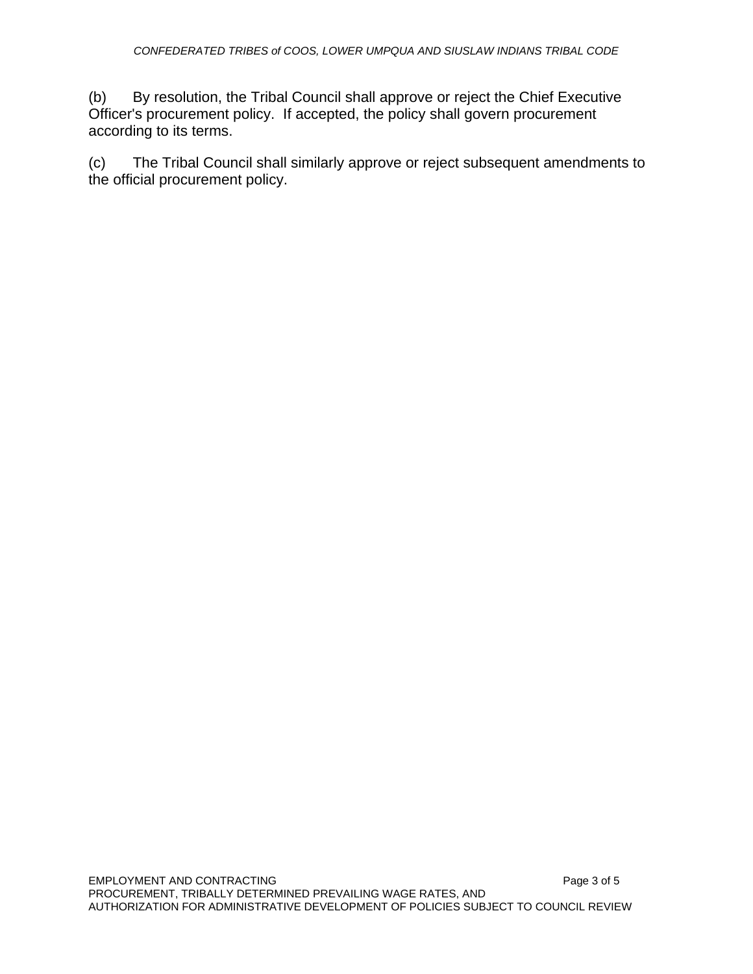(b) By resolution, the Tribal Council shall approve or reject the Chief Executive Officer's procurement policy. If accepted, the policy shall govern procurement according to its terms.

(c) The Tribal Council shall similarly approve or reject subsequent amendments to the official procurement policy.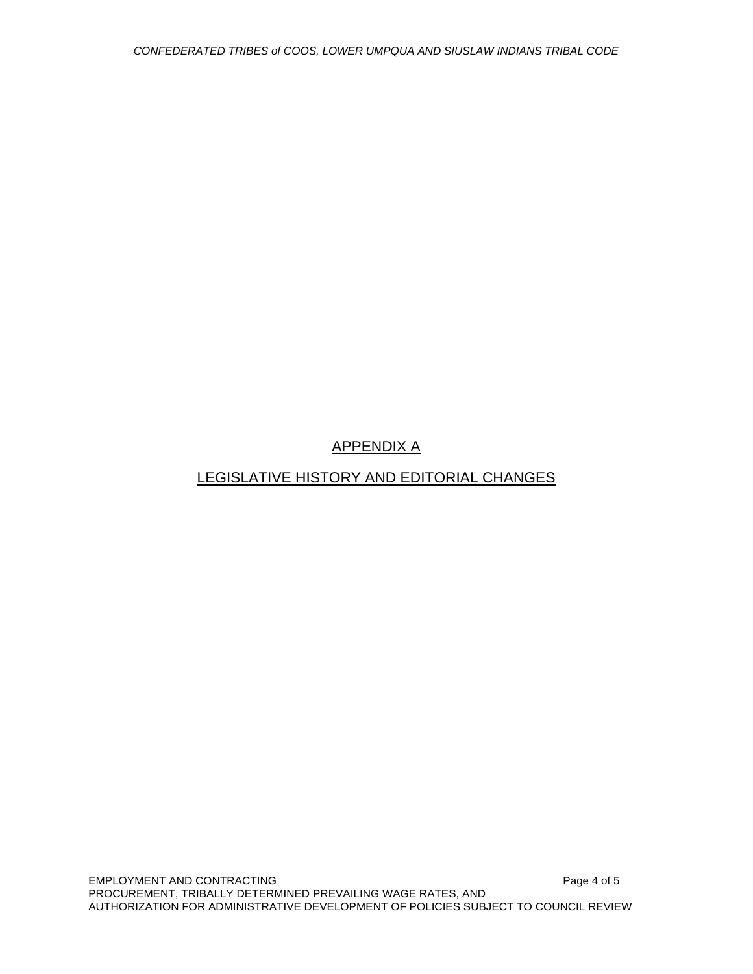# APPENDIX A

## LEGISLATIVE HISTORY AND EDITORIAL CHANGES